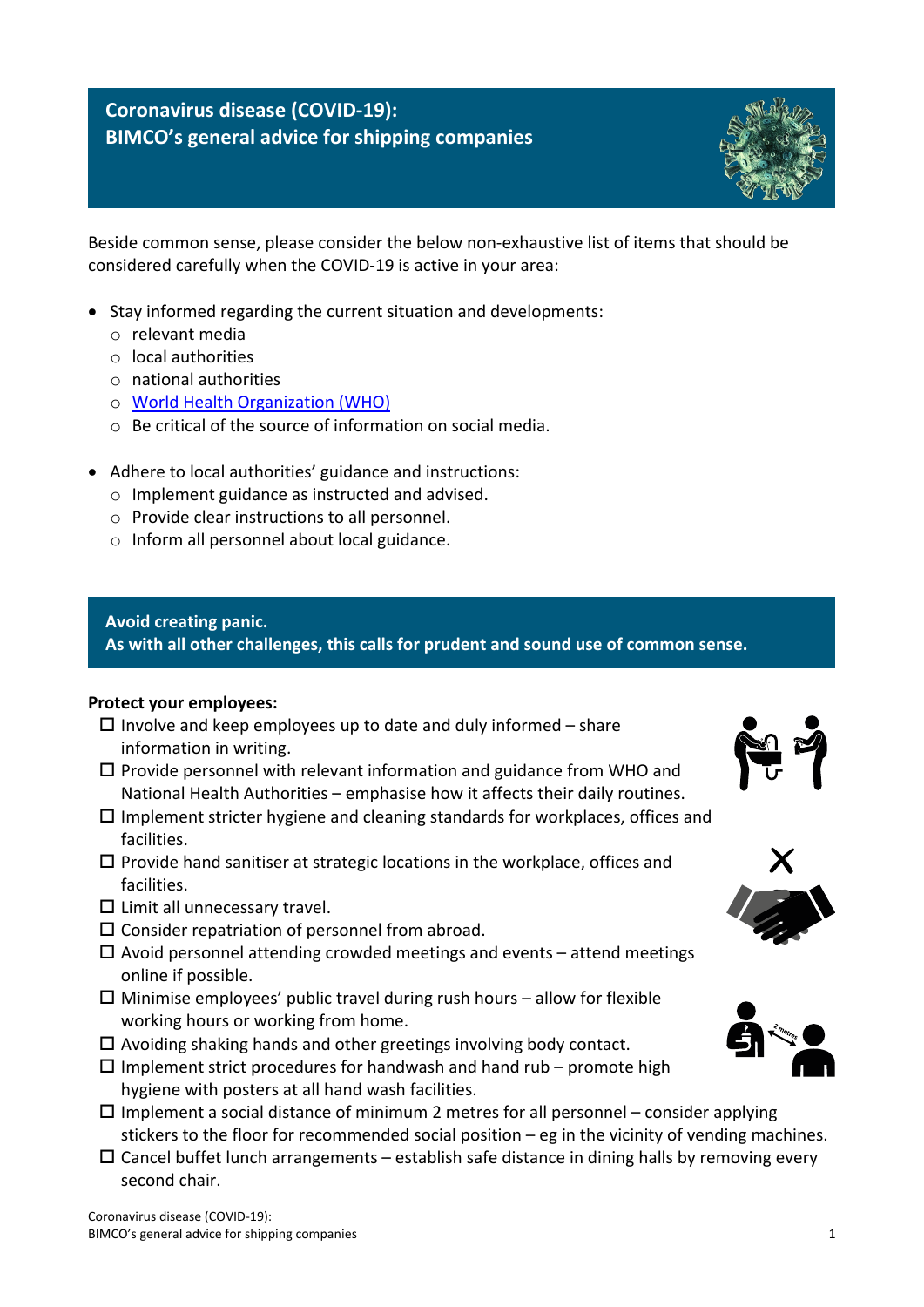# **Coronavirus disease (COVID-19): BIMCO's general advice for shipping companies**



Beside common sense, please consider the below non-exhaustive list of items that should be considered carefully when the COVID-19 is active in your area:

- Stay informed regarding the current situation and developments:
	- o relevant media
	- o local authorities
	- o national authorities
	- o [World Health Organization \(WHO\)](https://www.who.int/)
	- o Be critical of the source of information on social media.
- Adhere to local authorities' guidance and instructions:
	- o Implement guidance as instructed and advised.
	- o Provide clear instructions to all personnel.
	- o Inform all personnel about local guidance.

## **Avoid creating panic.**

**As with all other challenges, this calls for prudent and sound use of common sense.**

#### **Protect your employees:**

- $\Box$  Involve and keep employees up to date and duly informed share information in writing.
- $\square$  Provide personnel with relevant information and guidance from WHO and National Health Authorities – emphasise how it affects their daily routines.
- $\Box$  Implement stricter hygiene and cleaning standards for workplaces, offices and facilities.
- $\square$  Provide hand sanitiser at strategic locations in the workplace, offices and facilities.
- $\square$  Limit all unnecessary travel.
- $\square$  Consider repatriation of personnel from abroad.
- $\Box$  Avoid personnel attending crowded meetings and events attend meetings online if possible.
- $\Box$  Minimise employees' public travel during rush hours allow for flexible working hours or working from home.
- $\Box$  Avoiding shaking hands and other greetings involving body contact.
- $\Box$  Implement strict procedures for handwash and hand rub promote high hygiene with posters at all hand wash facilities.
- $\Box$  Implement a social distance of minimum 2 metres for all personnel consider applying stickers to the floor for recommended social position – eg in the vicinity of vending machines.
- $\Box$  Cancel buffet lunch arrangements establish safe distance in dining halls by removing every second chair.





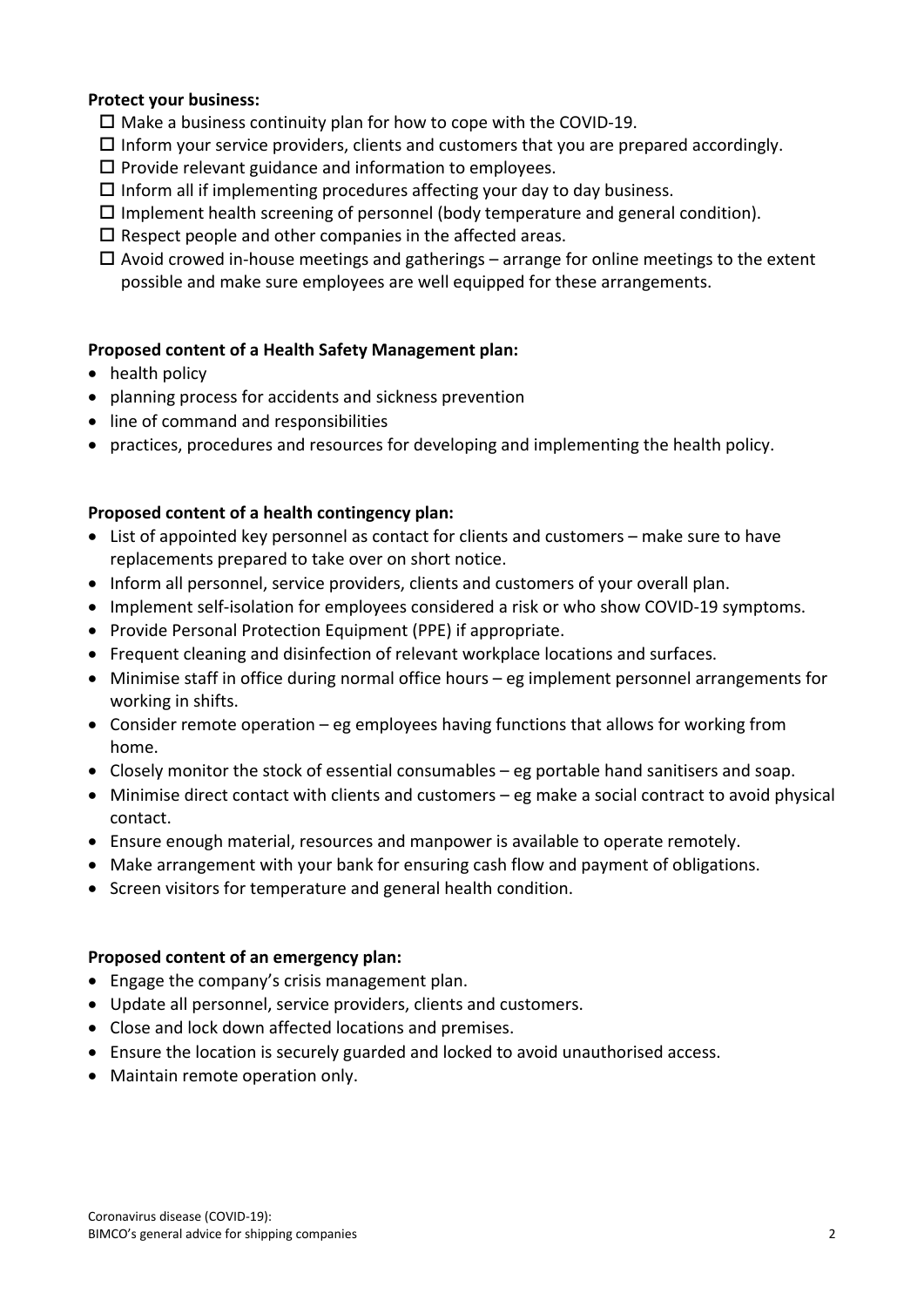## **Protect your business:**

- $\Box$  Make a business continuity plan for how to cope with the COVID-19.
- $\Box$  Inform your service providers, clients and customers that you are prepared accordingly.
- $\square$  Provide relevant guidance and information to employees.
- $\Box$  Inform all if implementing procedures affecting your day to day business.
- $\square$  Implement health screening of personnel (body temperature and general condition).
- $\square$  Respect people and other companies in the affected areas.
- $\Box$  Avoid crowed in-house meetings and gatherings arrange for online meetings to the extent possible and make sure employees are well equipped for these arrangements.

## **Proposed content of a Health Safety Management plan:**

- health policy
- planning process for accidents and sickness prevention
- line of command and responsibilities
- practices, procedures and resources for developing and implementing the health policy.

## **Proposed content of a health contingency plan:**

- List of appointed key personnel as contact for clients and customers make sure to have replacements prepared to take over on short notice.
- Inform all personnel, service providers, clients and customers of your overall plan.
- Implement self-isolation for employees considered a risk or who show COVID-19 symptoms.
- Provide Personal Protection Equipment (PPE) if appropriate.
- Frequent cleaning and disinfection of relevant workplace locations and surfaces.
- Minimise staff in office during normal office hours eg implement personnel arrangements for working in shifts.
- Consider remote operation eg employees having functions that allows for working from home.
- Closely monitor the stock of essential consumables eg portable hand sanitisers and soap.
- Minimise direct contact with clients and customers eg make a social contract to avoid physical contact.
- Ensure enough material, resources and manpower is available to operate remotely.
- Make arrangement with your bank for ensuring cash flow and payment of obligations.
- Screen visitors for temperature and general health condition.

#### **Proposed content of an emergency plan:**

- Engage the company's crisis management plan.
- Update all personnel, service providers, clients and customers.
- Close and lock down affected locations and premises.
- Ensure the location is securely guarded and locked to avoid unauthorised access.
- Maintain remote operation only.